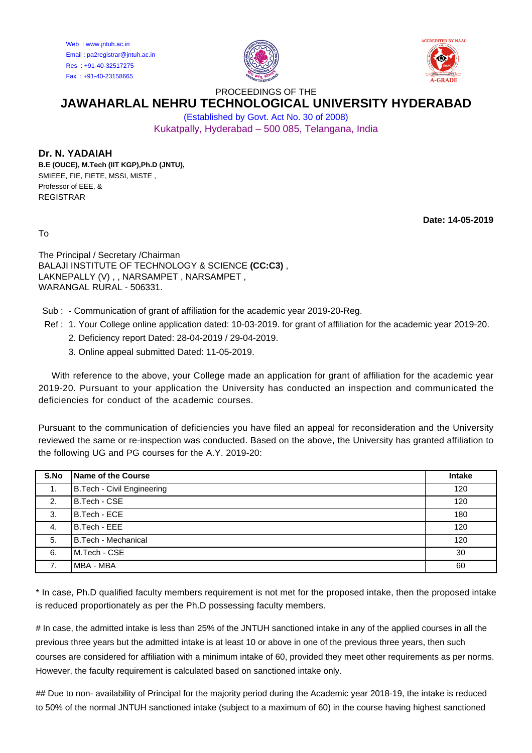Web : www.jntuh.ac.in Email : pa2registrar@jntuh.ac.in Res : +91-40-32517275 Fax : +91-40-23158665





PROCEEDINGS OF THE

## **JAWAHARLAL NEHRU TECHNOLOGICAL UNIVERSITY HYDERABAD**

(Established by Govt. Act No. 30 of 2008) Kukatpally, Hyderabad – 500 085, Telangana, India

## **Dr. N. YADAIAH**

**B.E (OUCE), M.Tech (IIT KGP),Ph.D (JNTU),** SMIEEE, FIE, FIETE, MSSI, MISTE , Professor of EEE, & REGISTRAR

**Date: 14-05-2019**

To

The Principal / Secretary /Chairman BALAJI INSTITUTE OF TECHNOLOGY & SCIENCE **(CC:C3)** , LAKNEPALLY (V), , NARSAMPET, NARSAMPET, WARANGAL RURAL - 506331.

Sub : - Communication of grant of affiliation for the academic year 2019-20-Reg.

- Ref : 1. Your College online application dated: 10-03-2019. for grant of affiliation for the academic year 2019-20.
	- 2. Deficiency report Dated: 28-04-2019 / 29-04-2019.
	- 3. Online appeal submitted Dated: 11-05-2019.

 With reference to the above, your College made an application for grant of affiliation for the academic year 2019-20. Pursuant to your application the University has conducted an inspection and communicated the deficiencies for conduct of the academic courses.

Pursuant to the communication of deficiencies you have filed an appeal for reconsideration and the University reviewed the same or re-inspection was conducted. Based on the above, the University has granted affiliation to the following UG and PG courses for the A.Y. 2019-20:

| S.No | <b>Name of the Course</b>         | <b>Intake</b> |
|------|-----------------------------------|---------------|
|      | <b>B.Tech - Civil Engineering</b> | 120           |
| 2.   | B.Tech - CSE                      | 120           |
| 3.   | B.Tech - ECE                      | 180           |
| 4.   | B.Tech - EEE                      | 120           |
| 5.   | <b>B.Tech - Mechanical</b>        | 120           |
| 6.   | M.Tech - CSE                      | 30            |
| 7.   | MBA - MBA                         | 60            |

\* In case, Ph.D qualified faculty members requirement is not met for the proposed intake, then the proposed intake is reduced proportionately as per the Ph.D possessing faculty members.

# In case, the admitted intake is less than 25% of the JNTUH sanctioned intake in any of the applied courses in all the previous three years but the admitted intake is at least 10 or above in one of the previous three years, then such courses are considered for affiliation with a minimum intake of 60, provided they meet other requirements as per norms. However, the faculty requirement is calculated based on sanctioned intake only.

## Due to non- availability of Principal for the majority period during the Academic year 2018-19, the intake is reduced to 50% of the normal JNTUH sanctioned intake (subject to a maximum of 60) in the course having highest sanctioned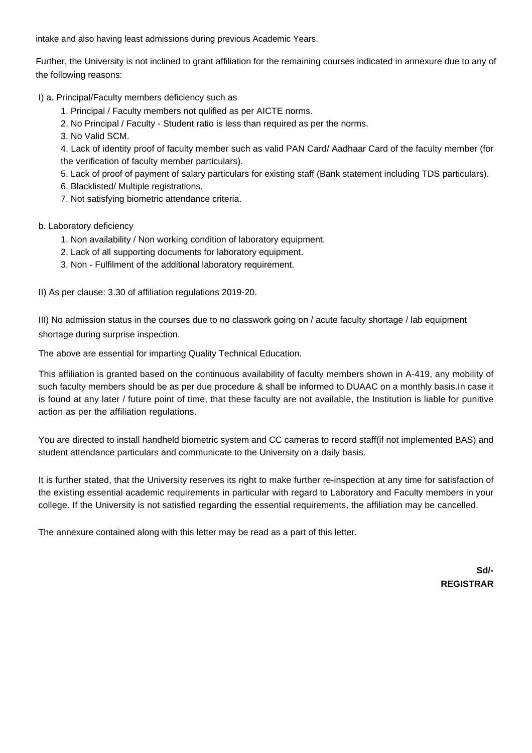intake and also having least admissions during previous Academic Years.

Further, the University is not inclined to grant affiliation for the remaining courses indicated in annexure due to any of the following reasons:

I) a. Principal/Faculty members deficiency such as

1. Principal / Faculty members not qulified as per AICTE norms.

2. No Principal / Faculty - Student ratio is less than required as per the norms.

3. No Valid SCM.

4. Lack of identity proof of faculty member such as valid PAN Card/ Aadhaar Card of the faculty member (for the verification of faculty member particulars).

5. Lack of proof of payment of salary particulars for existing staff (Bank statement including TDS particulars).

6. Blacklisted/ Multiple registrations.

7. Not satisfying biometric attendance criteria.

b. Laboratory deficiency

- 1. Non availability / Non working condition of laboratory equipment.
- 2. Lack of all supporting documents for laboratory equipment.
- 3. Non Fulfilment of the additional laboratory requirement.

II) As per clause: 3.30 of affiliation regulations 2019-20.

III) No admission status in the courses due to no classwork going on / acute faculty shortage / lab equipment shortage during surprise inspection.

The above are essential for imparting Quality Technical Education.

This affiliation is granted based on the continuous availability of faculty members shown in A-419, any mobility of such faculty members should be as per due procedure & shall be informed to DUAAC on a monthly basis.In case it is found at any later / future point of time, that these faculty are not available, the Institution is liable for punitive action as per the affiliation regulations.

You are directed to install handheld biometric system and CC cameras to record staff(if not implemented BAS) and student attendance particulars and communicate to the University on a daily basis.

It is further stated, that the University reserves its right to make further re-inspection at any time for satisfaction of the existing essential academic requirements in particular with regard to Laboratory and Faculty members in your college. If the University is not satisfied regarding the essential requirements, the affiliation may be cancelled.

The annexure contained along with this letter may be read as a part of this letter.

**Sd/- REGISTRAR**